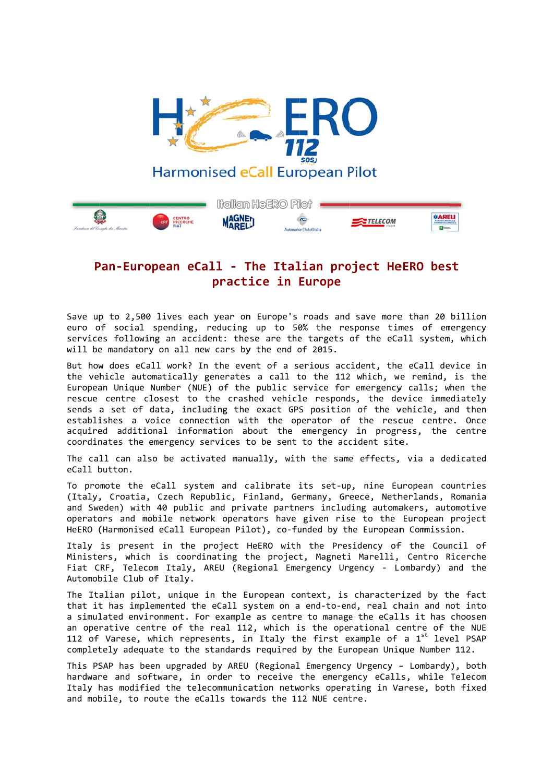

## Pan-European eCall - The Italian project HeERO best practice in Europe

Save up to 2,500 lives each year on Europe's roads and save more than 20 billion euro of social spending, reducing up to 50% the response times of emergency services following an accident: these are the targets of the eCall system, which will be mandatory on all new cars by the end of 2015.

But how does eCall work? In the event of a serious accident, the eCall device in the vehicle automatically generates a call to the 112 which, we remind, is the European Unique Number (NUE) of the public service for emergency calls; when the rescue centre closest to the crashed vehicle responds, the device immediately sends a set of data, including the exact GPS position of the vehicle, and then establishes a voice connection with the operator of the rescue centre. Once acquired additional information about the emergency in progress, the centre coordinates the emergency services to be sent to the accident site.

The call can also be activated manually, with the same effects, via a dedicated eCall button.

To promote the eCall system and calibrate its set-up, nine European countries (Italy, Croatia, Czech Republic, Finland, Germany, Greece, Netherlands, Romania and Sweden) with 40 public and private partners including automakers, automotive operators and mobile network operators have given rise to the European project HeERO (Harmonised eCall European Pilot), co-funded by the European Commission.

Italy is present in the project HeERO with the Presidency of the Council of Ministers, which is coordinating the project, Magneti Marelli, Centro Ricerche Fiat CRF, Telecom Italy, AREU (Regional Emergency Urgency - Lombardy) and the Automobile Club of Italy.

The Italian pilot, unique in the European context, is characterized by the fact that it has implemented the eCall system on a end-to-end, real chain and not into a simulated environment. For example as centre to manage the eCalls it has choosen an operative centre of the real  $112$ , which is the operational centre of the NUE 112 of Varese, which represents, in Italy the first example of a 1<sup>st</sup> level PSAP completely adequate to the standards required by the European Unique Number 112.

This PSAP has been upgraded by AREU (Regional Emergency Urgency - Lombardy), both hardware and software, in order to receive the emergency eCalls, while Telecom Italy has modified the telecommunication networks operating in Varese, both fixed and mobile, to route the eCalls towards the 112 NUE centre.